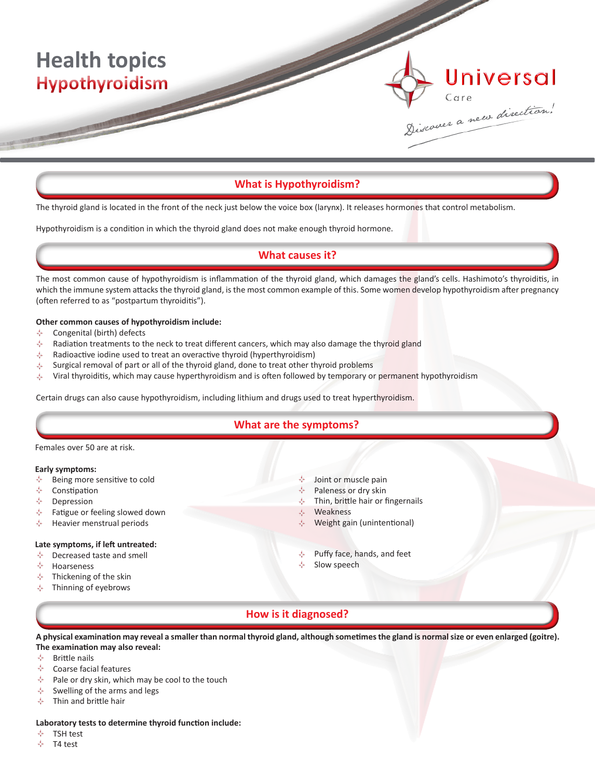# **Health topics Hypothyroidism**

# **What is Hypothyroidism?**

The thyroid gland is located in the front of the neck just below the voice box (larynx). It releases hormones that control metabolism.

Hypothyroidism is a condition in which the thyroid gland does not make enough thyroid hormone.

## **What causes it?**

The most common cause of hypothyroidism is inflammation of the thyroid gland, which damages the gland's cells. Hashimoto's thyroiditis, in which the immune system attacks the thyroid gland, is the most common example of this. Some women develop hypothyroidism after pregnancy (often referred to as "postpartum thyroiditis").

## **Other common causes of hypothyroidism include:**

- Congenital (birth) defects ÷.
- A Radiation treatments to the neck to treat different cancers, which may also damage the thyroid gland
- ÷ Radioactive iodine used to treat an overactive thyroid (hyperthyroidism)
- Surgical removal of part or all of the thyroid gland, done to treat other thyroid problems ÷.
- ÷. Viral thyroiditis, which may cause hyperthyroidism and is often followed by temporary or permanent hypothyroidism

Certain drugs can also cause hypothyroidism, including lithium and drugs used to treat hyperthyroidism.

## **What are the symptoms?**

#### Females over 50 are at risk.

#### **Early symptoms:**

- Being more sensitive to cold
- Constipation
- Depression
- Fatigue or feeling slowed down ÷
- ÷ Heavier menstrual periods

#### **Late symptoms, if left untreated:**

- Decreased taste and smell ÷,
- ÷. Hoarseness
- 去 Thickening of the skin
- Thinning of eyebrows ÷
- Joint or muscle pain
- Paleness or dry skin
- J. Thin, brittle hair or fingernails

Universal

Sixcover a new direction.

- $\mathcal{A}_k$ Weakness
- Weight gain (unintentional)
- Puffy face, hands, and feet
- Slow speech

# **How is it diagnosed?**

**A physical examination may reveal a smaller than normal thyroid gland, although sometimes the gland is normal size or even enlarged (goitre). The examination may also reveal:**

- ❖ Brittle nails
- J. Coarse facial features
- ÷ Pale or dry skin, which may be cool to the touch
- ÷ Swelling of the arms and legs
- Thin and brittle hair ☆

#### **Laboratory tests to determine thyroid function include:**

- ÷ TSH test
- ÷ T4 test